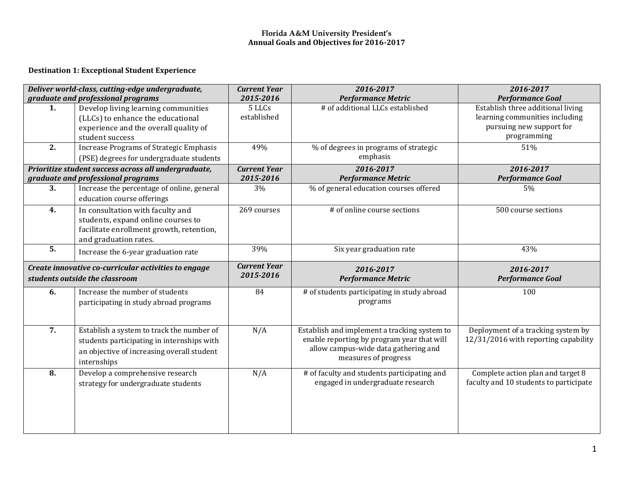#### **Florida A&M University President's Annual Goals and Objectives for 2016-2017**

#### **Destination 1: Exceptional Student Experience**

| Deliver world-class, cutting-edge undergraduate, |                                                      | <b>Current Year</b> | 2016-2017                                         | 2016-2017                              |
|--------------------------------------------------|------------------------------------------------------|---------------------|---------------------------------------------------|----------------------------------------|
|                                                  | graduate and professional programs                   | 2015-2016           | <b>Performance Metric</b>                         | <b>Performance Goal</b>                |
| 1.                                               | Develop living learning communities                  | 5 LLCs              | # of additional LLCs established                  | Establish three additional living      |
|                                                  | (LLCs) to enhance the educational                    | established         |                                                   | learning communities including         |
|                                                  | experience and the overall quality of                |                     |                                                   | pursuing new support for               |
|                                                  | student success                                      |                     |                                                   | programming                            |
| 2.                                               | <b>Increase Programs of Strategic Emphasis</b>       | 49%                 | % of degrees in programs of strategic             | 51%                                    |
|                                                  | (PSE) degrees for undergraduate students             |                     | emphasis                                          |                                        |
|                                                  | Prioritize student success across all undergraduate, | <b>Current Year</b> | 2016-2017                                         | 2016-2017                              |
|                                                  | graduate and professional programs                   | 2015-2016           | <b>Performance Metric</b>                         | <b>Performance Goal</b>                |
| 3.                                               | Increase the percentage of online, general           | 3%                  | % of general education courses offered            | 5%                                     |
|                                                  | education course offerings                           |                     |                                                   |                                        |
| 4.                                               | In consultation with faculty and                     | 269 courses         | $\overline{\# \text{ of}}$ online course sections | 500 course sections                    |
|                                                  | students, expand online courses to                   |                     |                                                   |                                        |
|                                                  | facilitate enrollment growth, retention,             |                     |                                                   |                                        |
|                                                  | and graduation rates.                                |                     |                                                   |                                        |
| 5.                                               | Increase the 6-year graduation rate                  | 39%                 | Six year graduation rate                          | 43%                                    |
|                                                  | Create innovative co-curricular activities to engage | <b>Current Year</b> | 2016-2017                                         | 2016-2017                              |
| students outside the classroom                   |                                                      | 2015-2016           | <b>Performance Metric</b>                         | <b>Performance Goal</b>                |
| 6.                                               | Increase the number of students                      | 84                  | # of students participating in study abroad       | 100                                    |
|                                                  | participating in study abroad programs               |                     | programs                                          |                                        |
|                                                  |                                                      |                     |                                                   |                                        |
|                                                  |                                                      |                     |                                                   |                                        |
| $\overline{7}$ .                                 | Establish a system to track the number of            | N/A                 | Establish and implement a tracking system to      | Deployment of a tracking system by     |
|                                                  | students participating in internships with           |                     | enable reporting by program year that will        | 12/31/2016 with reporting capability   |
|                                                  | an objective of increasing overall student           |                     | allow campus-wide data gathering and              |                                        |
|                                                  | internships                                          |                     | measures of progress                              |                                        |
| 8.                                               | Develop a comprehensive research                     | N/A                 | # of faculty and students participating and       | Complete action plan and target 8      |
|                                                  | strategy for undergraduate students                  |                     | engaged in undergraduate research                 | faculty and 10 students to participate |
|                                                  |                                                      |                     |                                                   |                                        |
|                                                  |                                                      |                     |                                                   |                                        |
|                                                  |                                                      |                     |                                                   |                                        |
|                                                  |                                                      |                     |                                                   |                                        |
|                                                  |                                                      |                     |                                                   |                                        |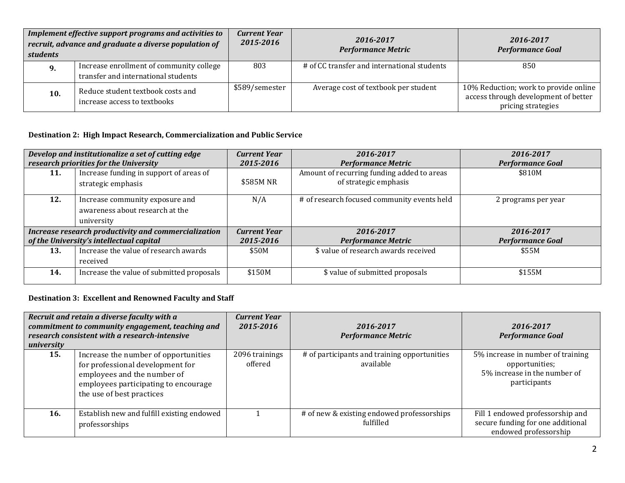| Implement effective support programs and activities to<br>recruit, advance and graduate a diverse population of<br><i>students</i> |                                                                                 | <b>Current Year</b><br>2015-2016 | 2016-2017<br><b>Performance Metric</b>      | 2016-2017<br><b>Performance Goal</b>                                                                |
|------------------------------------------------------------------------------------------------------------------------------------|---------------------------------------------------------------------------------|----------------------------------|---------------------------------------------|-----------------------------------------------------------------------------------------------------|
| 9.                                                                                                                                 | Increase enrollment of community college<br>transfer and international students | 803                              | # of CC transfer and international students | 850                                                                                                 |
| 10.                                                                                                                                | Reduce student textbook costs and<br>increase access to textbooks               | \$589/semester                   | Average cost of textbook per student        | 10% Reduction; work to provide online<br>access through development of better<br>pricing strategies |

## **Destination 2: High Impact Research, Commercialization and Public Service**

| Develop and institutionalize a set of cutting edge<br>research priorities for the University |                                                                                  | <b>Current Year</b><br>2015-2016 | 2016-2017<br><b>Performance Metric</b>                              | 2016-2017<br><b>Performance Goal</b> |
|----------------------------------------------------------------------------------------------|----------------------------------------------------------------------------------|----------------------------------|---------------------------------------------------------------------|--------------------------------------|
| 11.                                                                                          | Increase funding in support of areas of<br>strategic emphasis                    | \$585M NR                        | Amount of recurring funding added to areas<br>of strategic emphasis | \$810M                               |
| 12.                                                                                          | Increase community exposure and<br>awareness about research at the<br>university | N/A                              | # of research focused community events held                         | 2 programs per year                  |
| Increase research productivity and commercialization                                         |                                                                                  | <b>Current Year</b>              | 2016-2017                                                           | 2016-2017                            |
| of the University's intellectual capital                                                     |                                                                                  | 2015-2016                        | <b>Performance Metric</b>                                           | <b>Performance Goal</b>              |
| 13.                                                                                          | Increase the value of research awards                                            | \$50M                            | \$ value of research awards received                                | \$55M                                |
|                                                                                              | received                                                                         |                                  |                                                                     |                                      |
| 14.                                                                                          | Increase the value of submitted proposals                                        | \$150M                           | \$ value of submitted proposals                                     | \$155M                               |

## **Destination 3: Excellent and Renowned Faculty and Staff**

| Recruit and retain a diverse faculty with a<br>commitment to community engagement, teaching and<br>research consistent with a research-intensive<br>university |                                                                                                                                                                              | <b>Current Year</b><br>2015-2016 | 2016-2017<br><b>Performance Metric</b>                    | 2016-2017<br><b>Performance Goal</b>                                                                |
|----------------------------------------------------------------------------------------------------------------------------------------------------------------|------------------------------------------------------------------------------------------------------------------------------------------------------------------------------|----------------------------------|-----------------------------------------------------------|-----------------------------------------------------------------------------------------------------|
| 15.                                                                                                                                                            | Increase the number of opportunities<br>for professional development for<br>employees and the number of<br>employees participating to encourage<br>the use of best practices | 2096 trainings<br>offered        | # of participants and training opportunities<br>available | 5% increase in number of training<br>opportunities;<br>5% increase in the number of<br>participants |
| 16.                                                                                                                                                            | Establish new and fulfill existing endowed<br>professorships                                                                                                                 |                                  | # of new & existing endowed professorships<br>fulfilled   | Fill 1 endowed professorship and<br>secure funding for one additional<br>endowed professorship      |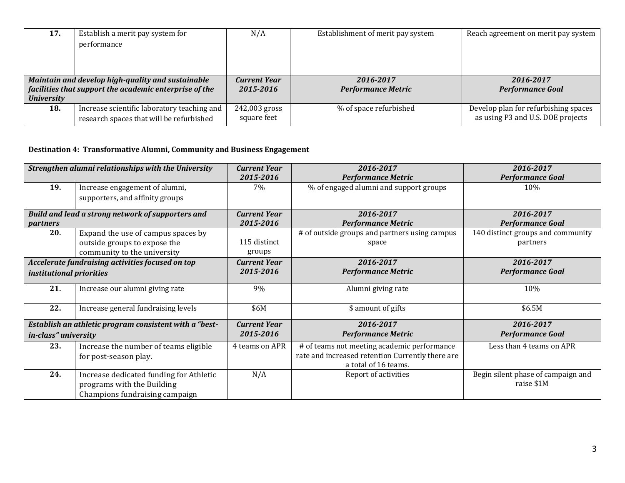| 17.                                                    | Establish a merit pay system for            | N/A                 | Establishment of merit pay system | Reach agreement on merit pay system  |
|--------------------------------------------------------|---------------------------------------------|---------------------|-----------------------------------|--------------------------------------|
|                                                        | performance                                 |                     |                                   |                                      |
|                                                        |                                             |                     |                                   |                                      |
|                                                        |                                             |                     |                                   |                                      |
| Maintain and develop high-quality and sustainable      |                                             | <b>Current Year</b> | 2016-2017                         | 2016-2017                            |
| facilities that support the academic enterprise of the |                                             | 2015-2016           | <b>Performance Metric</b>         | <b>Performance Goal</b>              |
| <b>University</b>                                      |                                             |                     |                                   |                                      |
| 18.                                                    | Increase scientific laboratory teaching and | 242,003 gross       | % of space refurbished            | Develop plan for refurbishing spaces |
|                                                        | research spaces that will be refurbished    | square feet         |                                   | as using P3 and U.S. DOE projects    |

# **Destination 4: Transformative Alumni, Community and Business Engagement**

| Strengthen alumni relationships with the University |                                                        | <b>Current Year</b> | 2016-2017                                        | 2016-2017                          |
|-----------------------------------------------------|--------------------------------------------------------|---------------------|--------------------------------------------------|------------------------------------|
|                                                     |                                                        | 2015-2016           | <b>Performance Metric</b>                        | <b>Performance Goal</b>            |
| 19.                                                 | Increase engagement of alumni,                         | 7%                  | % of engaged alumni and support groups           | 10%                                |
|                                                     | supporters, and affinity groups                        |                     |                                                  |                                    |
|                                                     | Build and lead a strong network of supporters and      | <b>Current Year</b> | 2016-2017                                        | 2016-2017                          |
| <i>partners</i>                                     |                                                        | 2015-2016           | <b>Performance Metric</b>                        | <b>Performance Goal</b>            |
| 20.                                                 | Expand the use of campus spaces by                     |                     | # of outside groups and partners using campus    | 140 distinct groups and community  |
|                                                     | outside groups to expose the                           | 115 distinct        | space                                            | partners                           |
|                                                     | community to the university                            | groups              |                                                  |                                    |
| Accelerate fundraising activities focused on top    |                                                        | <b>Current Year</b> | 2016-2017                                        | 2016-2017                          |
| institutional priorities                            |                                                        | 2015-2016           | <b>Performance Metric</b>                        | <b>Performance Goal</b>            |
| 21.                                                 | Increase our alumni giving rate                        | 9%                  | Alumni giving rate                               | 10%                                |
| 22.                                                 | Increase general fundraising levels                    | \$6M                | \$ amount of gifts                               | \$6.5M                             |
|                                                     | Establish an athletic program consistent with a "best- | <b>Current Year</b> | 2016-2017                                        | 2016-2017                          |
| in-class" university                                |                                                        | 2015-2016           | <b>Performance Metric</b>                        | <b>Performance Goal</b>            |
| 23.                                                 | Increase the number of teams eligible                  | 4 teams on APR      | # of teams not meeting academic performance      | Less than 4 teams on APR           |
|                                                     | for post-season play.                                  |                     | rate and increased retention Currently there are |                                    |
|                                                     |                                                        |                     | a total of 16 teams.                             |                                    |
| 24.                                                 | Increase dedicated funding for Athletic                | N/A                 | Report of activities                             | Begin silent phase of campaign and |
|                                                     | programs with the Building                             |                     |                                                  | raise \$1M                         |
|                                                     | Champions fundraising campaign                         |                     |                                                  |                                    |